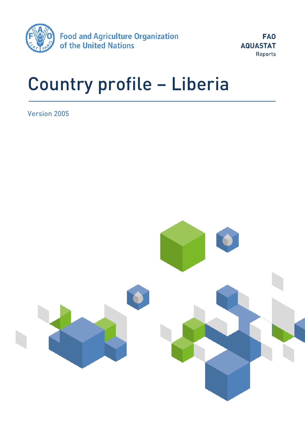

**FAO AQUASTAT** Reports

# Country profile – Liberia

Version 2005

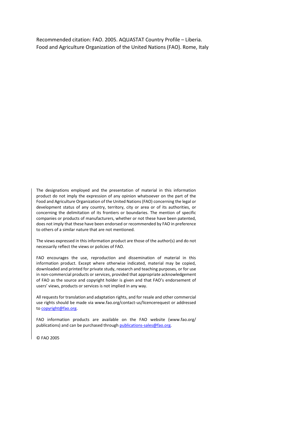Recommended citation: FAO. 2005. AQUASTAT Country Profile – Liberia. Food and Agriculture Organization of the United Nations (FAO). Rome, Italy

The designations employed and the presentation of material in this information product do not imply the expression of any opinion whatsoever on the part of the Food and Agriculture Organization of the United Nations (FAO) concerning the legal or development status of any country, territory, city or area or of its authorities, or concerning the delimitation of its frontiers or boundaries. The mention of specific companies or products of manufacturers, whether or not these have been patented, does not imply that these have been endorsed or recommended by FAO in preference to others of a similar nature that are not mentioned.

The views expressed in this information product are those of the author(s) and do not necessarily reflect the views or policies of FAO.

FAO encourages the use, reproduction and dissemination of material in this information product. Except where otherwise indicated, material may be copied, downloaded and printed for private study, research and teaching purposes, or for use in non-commercial products or services, provided that appropriate acknowledgement of FAO as the source and copyright holder is given and that FAO's endorsement of users' views, products or services is not implied in any way.

All requests for translation and adaptation rights, and for resale and other commercial use rights should be made via www.fao.org/contact-us/licencerequest or addressed t[o copyright@fao.org.](mailto:copyright@fao.org)

FAO information products are available on the FAO website (www.fao.org/ publications) and can be purchased throug[h publications-sales@fao.org.](mailto:publications-sales@fao.org)

© FAO 2005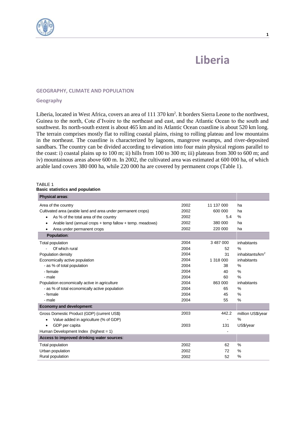

# **Liberia**

#### **GEOGRAPHY, CLIMATE AND POPULATION**

#### **Geography**

Liberia, located in West Africa, covers an area of 111 370 km<sup>2</sup>. It borders Sierra Leone to the northwest, Guinea to the north, Cote d'Ivoire to the northeast and east, and the Atlantic Ocean to the south and southwest. Its north-south extent is about 465 km and its Atlantic Ocean coastline is about 520 km long. The terrain comprises mostly flat to rolling coastal plains, rising to rolling plateau and low mountains in the northeast. The coastline is characterized by lagoons, mangrove swamps, and river-deposited sandbars. The country can be divided according to elevation into four main physical regions parallel to the coast: i) coastal plains up to 100 m; ii) hills from 100 to 300 m; iii) plateaus from 300 to 600 m; and iv) mountainous areas above 600 m. In 2002, the cultivated area was estimated at 600 000 ha, of which arable land covers 380 000 ha, while 220 000 ha are covered by permanent crops (Table 1).

#### TABLE 1 **Basic statistics and population**

| <b>Physical areas:</b>                                        |      |                          |                             |
|---------------------------------------------------------------|------|--------------------------|-----------------------------|
| Area of the country                                           | 2002 | 11 137 000               | ha                          |
| Cultivated area (arable land and area under permanent crops)  | 2002 | 600 000                  | ha                          |
| As % of the total area of the country<br>$\bullet$            | 2002 | 5.4                      | %                           |
| Arable land (annual crops + temp fallow + temp. meadows)<br>٠ | 2002 | 380 000                  | ha                          |
| Area under permanent crops<br>$\bullet$                       | 2002 | 220 000                  | ha                          |
| Population:                                                   |      |                          |                             |
| Total population                                              | 2004 | 3 487 000                | inhabitants                 |
| Of which rural                                                | 2004 | 52                       | %                           |
| Population density                                            | 2004 | 31                       | inhabitants/km <sup>2</sup> |
| Economically active population                                | 2004 | 1 318 000                | inhabitants                 |
| - as % of total population                                    | 2004 | 38                       | %                           |
| - female                                                      | 2004 | 40                       | $\frac{0}{0}$               |
| - male                                                        | 2004 | 60                       | $\%$                        |
| Population economically active in agriculture                 | 2004 | 863 000                  | inhabitants                 |
| - as % of total economically active population                | 2004 | 65                       | $\%$                        |
| - female                                                      | 2004 | 45                       | %                           |
| - male                                                        | 2004 | 55                       | %                           |
| Economy and development:                                      |      |                          |                             |
| Gross Domestic Product (GDP) (current US\$)                   | 2003 | 442.2                    | million US\$/year           |
| Value added in agriculture (% of GDP)                         |      | Ĭ.                       | %                           |
| GDP per capita                                                | 2003 | 131                      | US\$/year                   |
| Human Development Index (highest = $1$ )                      |      | $\overline{\phantom{a}}$ |                             |
| Access to improved drinking water sources:                    |      |                          |                             |
| Total population                                              | 2002 | 62                       | $\frac{0}{0}$               |
| Urban population                                              | 2002 | 72                       | %                           |
| Rural population                                              | 2002 | 52                       | %                           |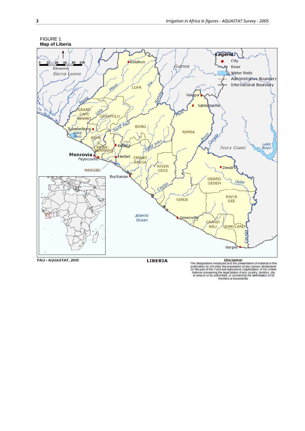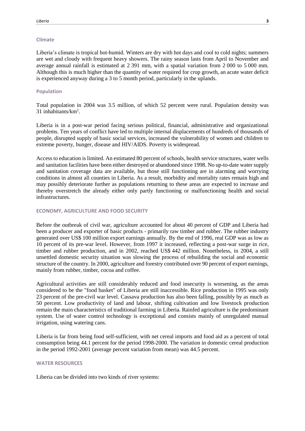#### **Climate**

Liberia's climate is tropical hot-humid. Winters are dry with hot days and cool to cold nights; summers are wet and cloudy with frequent heavy showers. The rainy season lasts from April to November and average annual rainfall is estimated at 2 391 mm, with a spatial variation from 2 000 to 5 000 mm. Although this is much higher than the quantity of water required for crop growth, an acute water deficit is experienced anyway during a 3 to 5 month period, particularly in the uplands.

#### **Population**

Total population in 2004 was 3.5 million, of which 52 percent were rural. Population density was 31 inhabitants/km<sup>2</sup> .

Liberia is in a post-war period facing serious political, financial, administrative and organizational problems. Ten years of conflict have led to multiple internal displacements of hundreds of thousands of people, disrupted supply of basic social services, increased the vulnerability of women and children to extreme poverty, hunger, disease and HIV/AIDS. Poverty is widespread.

Access to education is limited. An estimated 80 percent of schools, health service structures, water wells and sanitation facilities have been either destroyed or abandoned since 1998. No up-to-date water supply and sanitation coverage data are available, but those still functioning are in alarming and worrying conditions in almost all counties in Liberia. As a result, morbidity and mortality rates remain high and may possibly deteriorate further as populations returning to these areas are expected to increase and thereby overstretch the already either only partly functioning or malfunctioning health and social infrastructures.

#### **ECONOMY, AGRICULTURE AND FOOD SECURITY**

Before the outbreak of civil war, agriculture accounted for about 40 percent of GDP and Liberia had been a producer and exporter of basic products - primarily raw timber and rubber. The rubber industry generated over US\$ 100 million export earnings annually. By the end of 1996, real GDP was as low as 10 percent of its pre-war level. However, from 1997 it increased, reflecting a post-war surge in rice, timber and rubber production, and in 2002, reached US\$ 442 million. Nonetheless, in 2004, a still unsettled domestic security situation was slowing the process of rebuilding the social and economic structure of the country. In 2000, agriculture and forestry contributed over 90 percent of export earnings, mainly from rubber, timber, cocoa and coffee.

Agricultural activities are still considerably reduced and food insecurity is worsening, as the areas considered to be the "food basket" of Liberia are still inaccessible. Rice production in 1995 was only 23 percent of the pre-civil war level. Cassava production has also been falling, possibly by as much as 50 percent. Low productivity of land and labour, shifting cultivation and low livestock production remain the main characteristics of traditional farming in Liberia. Rainfed agriculture is the predominant system. Use of water control technology is exceptional and consists mainly of unregulated manual irrigation, using watering cans.

Liberia is far from being food self-sufficient, with net cereal imports and food aid as a percent of total consumption being 44.1 percent for the period 1998-2000. The variation in domestic cereal production in the period 1992-2001 (average percent variation from mean) was 44.5 percent.

#### **WATER RESOURCES**

Liberia can be divided into two kinds of river systems: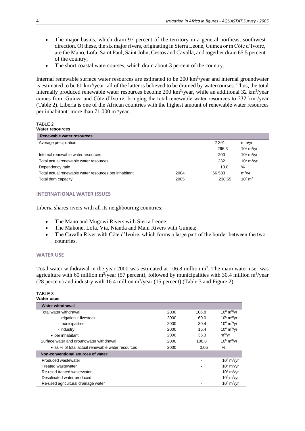- The major basins, which drain 97 percent of the territory in a general northeast-southwest direction. Of these, the six major rivers, originating in Sierra Leone, Guinea or in Côte d'Ivoire, are the Mano, Lofa, Saint Paul, Saint John, Cestos and Cavalla, and together drain 65.5 percent of the country;
- The short coastal watercourses, which drain about 3 percent of the country.

Internal renewable surface water resources are estimated to be 200 km<sup>3</sup>/year and internal groundwater is estimated to be 60 km<sup>3</sup>/year; all of the latter is believed to be drained by watercourses. Thus, the total internally produced renewable water resources become 200 km<sup>3</sup>/year, while an additional 32 km<sup>3</sup>/year comes from Guinea and Côte d'Ivoire, bringing the total renewable water resources to 232 km<sup>3</sup>/year (Table 2). Liberia is one of the African countries with the highest amount of renewable water resources per inhabitant: more than 71 000 m<sup>3</sup>/year.

TABLE 2 **Water resources**

| .                                                     |      |         |                           |
|-------------------------------------------------------|------|---------|---------------------------|
| Renewable water resources:                            |      |         |                           |
| Average precipitation                                 |      | 2 3 9 1 | mm/yr                     |
|                                                       |      | 266.3   | $10^9$ m <sup>3</sup> /yr |
| Internal renewable water resources                    |      | 200     | $10^9$ m <sup>3</sup> /yr |
| Total actual renewable water resources                |      | 232     | $10^9$ m <sup>3</sup> /yr |
| Dependency ratio                                      |      | 13.8    | %                         |
| Total actual renewable water resources per inhabitant | 2004 | 66 533  | $m^3/yr$                  |
| Total dam capacity                                    | 2005 | 238.65  | $10^6 \text{ m}^3$        |

#### **INTERNATIONAL WATER ISSUES**

Liberia shares rivers with all its neighbouring countries:

- The Mano and Mugowi Rivers with Sierra Leone;
- The Makone, Lofa, Via, Nianda and Mani Rivers with Guinea;
- The Cavalla River with Côte d'Ivoire, which forms a large part of the border between the two countries.

#### **WATER USE**

Total water withdrawal in the year 2000 was estimated at  $106.8$  million  $m<sup>3</sup>$ . The main water user was agriculture with 60 million m<sup>3</sup>/year (57 percent), followed by municipalities with 30.4 million m<sup>3</sup>/year (28 percent) and industry with 16.4 million  $m^3$ /year (15 percent) (Table 3 and Figure 2).

TABLE 3 **Water uses**

| water uses                                       |      |       |                           |
|--------------------------------------------------|------|-------|---------------------------|
| Water withdrawal:                                |      |       |                           |
| Total water withdrawal                           | 2000 | 106.8 | $10^6$ m <sup>3</sup> /yr |
| - irrigation + livestock                         | 2000 | 60.0  | $10^6$ m <sup>3</sup> /yr |
| - municipalities                                 | 2000 | 30.4  | $10^6$ m <sup>3</sup> /yr |
| - industry                                       | 2000 | 16.4  | $10^6$ m <sup>3</sup> /yr |
| • per inhabitant                                 | 2000 | 36.3  | $m^3/yr$                  |
| Surface water and groundwater withdrawal         | 2000 | 106.8 | $10^6$ m <sup>3</sup> /yr |
| • as % of total actual renewable water resources | 2000 | 0.05  | %                         |
| Non-conventional sources of water:               |      |       |                           |
| Produced wastewater                              |      |       | $10^6$ m <sup>3</sup> /yr |
| <b>Treated wastewater</b>                        |      |       | $10^6$ m <sup>3</sup> /yr |
| Re-used treated wastewater                       |      |       | $10^6$ m <sup>3</sup> /yr |
| Desalinated water produced                       |      |       | $10^6$ m <sup>3</sup> /yr |
| Re-used agricultural drainage water              |      |       | $10^6$ m <sup>3</sup> /vr |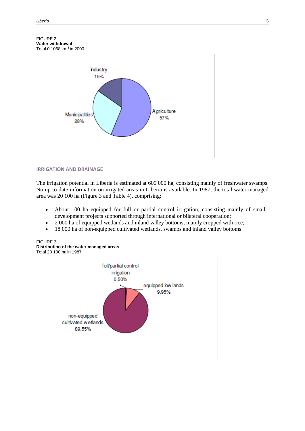#### FIGURE 2 **Water withdrawal** Total 0.1068 km<sup>3</sup>in 2000



#### **IRRIGATION AND DRAINAGE**

The irrigation potential in Liberia is estimated at 600 000 ha, consisting mainly of freshwater swamps. No up-to-date information on irrigated areas in Liberia is available. In 1987, the total water managed area was 20 100 ha (Figure 3 and Table 4), comprising:

- About 100 ha equipped for full or partial control irrigation, consisting mainly of small development projects supported through international or bilateral cooperation;
- 2 000 ha of equipped wetlands and inland valley bottoms, mainly cropped with rice;
- 18 000 ha of non-equipped cultivated wetlands, swamps and inland valley bottoms.

FIGURE 3 **Distribution of the water managed areas** Total 20 100 ha in 1987

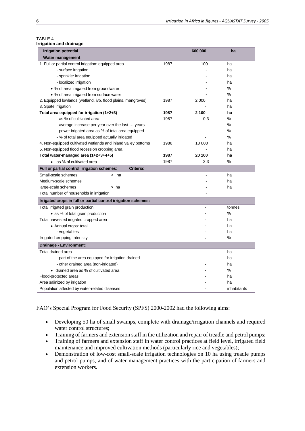#### TABLE 4 **Irrigation and drainage**

| <b>Irrigation potential</b>                                    |      | 600 000 | ha          |
|----------------------------------------------------------------|------|---------|-------------|
| Water management                                               |      |         |             |
| 1. Full or partial control irrigation: equipped area           | 1987 | 100     | ha          |
| - surface irrigation                                           |      |         | ha          |
| - sprinkler irrigation                                         |      |         | ha          |
| - localized irrigation                                         |      |         | ha          |
| • % of area irrigated from groundwater                         |      |         | %           |
| • % of area irrigated from surface water                       |      |         | %           |
| 2. Equipped lowlands (wetland, ivb, flood plains, mangroves)   | 1987 | 2 0 0 0 | ha          |
| 3. Spate irrigation                                            |      |         | ha          |
| Total area equipped for irrigation (1+2+3)                     | 1987 | 2 100   | ha          |
| - as % of cultivated area                                      | 1987 | 0.3     | $\%$        |
| - average increase per year over the last  years               |      |         | %           |
| - power irrigated area as % of total area equipped             |      |         | $\%$        |
| - % of total area equipped actually irrigated                  |      |         | %           |
| 4. Non-equipped cultivated wetlands and inland valley bottoms  | 1986 | 18 000  | ha          |
| 5. Non-equipped flood recession cropping area                  |      |         | ha          |
| Total water-managed area (1+2+3+4+5)                           | 1987 | 20 100  | ha          |
| • as % of cultivated area                                      | 1987 | 3.3     | %           |
| Full or partial control irrigation schemes:<br>Criteria:       |      |         |             |
| Small-scale schemes<br>kha                                     |      |         | ha          |
| Medium-scale schemes                                           |      |         | ha          |
| large-scale schemes<br>> ha                                    |      |         | ha          |
| Total number of households in irrigation                       |      |         |             |
| Irrigated crops in full or partial control irrigation schemes: |      |         |             |
| Total irrigated grain production                               |      |         | tonnes      |
| • as % of total grain production                               |      |         | %           |
| Total harvested irrigated cropped area                         |      |         | ha          |
| • Annual crops: total                                          |      |         | ha          |
| - vegetables                                                   |      |         | ha          |
| Irrigated cropping intensity                                   |      |         | $\%$        |
| Drainage - Environment:                                        |      |         |             |
| Total drained area                                             |      |         | ha          |
| - part of the area equipped for irrigation drained             |      |         | ha          |
| - other drained area (non-irrigated)                           |      |         | ha          |
| • drained area as % of cultivated area                         |      |         | %           |
| Flood-protected areas                                          |      |         | ha          |
| Area salinized by irrigation                                   |      |         | ha          |
| Population affected by water-related diseases                  |      |         | inhabitants |

FAO's Special Program for Food Security (SPFS) 2000-2002 had the following aims:

- Developing 50 ha of small swamps, complete with drainage/irrigation channels and required water control structures;
- Training of farmers and extension staff in the utilization and repair of treadle and petrol pumps;
- Training of farmers and extension staff in water control practices at field level, irrigated field maintenance and improved cultivation methods (particularly rice and vegetables);
- Demonstration of low-cost small-scale irrigation technologies on 10 ha using treadle pumps and petrol pumps, and of water management practices with the participation of farmers and extension workers.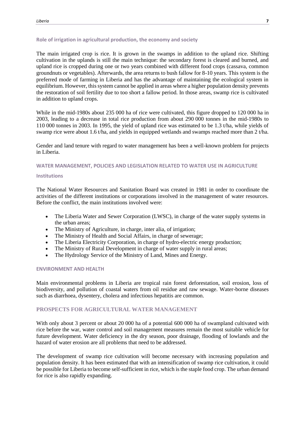### **Role of irrigation in agricultural production, the economy and society**

The main irrigated crop is rice. It is grown in the swamps in addition to the upland rice. Shifting cultivation in the uplands is still the main technique: the secondary forest is cleared and burned, and upland rice is cropped during one or two years combined with different food crops (cassava, common groundnuts or vegetables). Afterwards, the area returns to bush fallow for 8-10 years. This system is the preferred mode of farming in Liberia and has the advantage of maintaining the ecological system in equilibrium. However, this system cannot be applied in areas where a higher population density prevents the restoration of soil fertility due to too short a fallow period. In those areas, swamp rice is cultivated in addition to upland crops.

While in the mid-1980s about 235 000 ha of rice were cultivated, this figure dropped to 120 000 ha in 2003, leading to a decrease in total rice production from about 290 000 tonnes in the mid-1980s to 110 000 tonnes in 2003. In 1995, the yield of upland rice was estimated to be 1.3 t/ha, while yields of swamp rice were about 1.6 t/ha, and yields in equipped wetlands and swamps reached more than 2 t/ha.

Gender and land tenure with regard to water management has been a well-known problem for projects in Liberia.

#### **WATER MANAGEMENT, POLICIES AND LEGISLATION RELATED TO WATER USE IN AGRICULTURE**

# **Institutions**

The National Water Resources and Sanitation Board was created in 1981 in order to coordinate the activities of the different institutions or corporations involved in the management of water resources. Before the conflict, the main institutions involved were:

- The Liberia Water and Sewer Corporation (LWSC), in charge of the water supply systems in the urban areas;
- The Ministry of Agriculture, in charge, inter alia, of irrigation;
- The Ministry of Health and Social Affairs, in charge of sewerage;
- The Liberia Electricity Corporation, in charge of hydro-electric energy production;
- The Ministry of Rural Development in charge of water supply in rural areas;
- The Hydrology Service of the Ministry of Land, Mines and Energy.

# **ENVIRONMENT AND HEALTH**

Main environmental problems in Liberia are tropical rain forest deforestation, soil erosion, loss of biodiversity, and pollution of coastal waters from oil residue and raw sewage. Water-borne diseases such as diarrhoea, dysentery, cholera and infectious hepatitis are common.

# **PROSPECTS FOR AGRICULTURAL WATER MANAGEMENT**

With only about 3 percent or about 20 000 ha of a potential 600 000 ha of swampland cultivated with rice before the war, water control and soil management measures remain the most suitable vehicle for future development. Water deficiency in the dry season, poor drainage, flooding of lowlands and the hazard of water erosion are all problems that need to be addressed.

The development of swamp rice cultivation will become necessary with increasing population and population density. It has been estimated that with an intensification of swamp rice cultivation, it could be possible for Liberia to become self-sufficient in rice, which is the staple food crop. The urban demand for rice is also rapidly expanding.